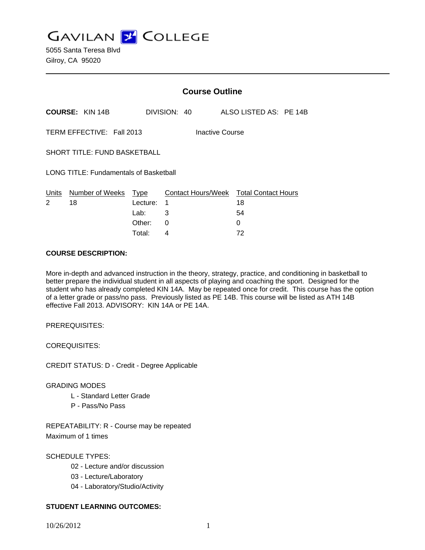**GAVILAN J COLLEGE** 

|                                               |                        | <b>Course Outline</b>   |              |  |                    |  |                                  |  |  |
|-----------------------------------------------|------------------------|-------------------------|--------------|--|--------------------|--|----------------------------------|--|--|
|                                               | <b>COURSE: KIN 14B</b> |                         | DIVISION: 40 |  |                    |  | ALSO LISTED AS: PE 14B           |  |  |
| TERM EFFECTIVE: Fall 2013<br>Inactive Course  |                        |                         |              |  |                    |  |                                  |  |  |
| <b>SHORT TITLE: FUND BASKETBALL</b>           |                        |                         |              |  |                    |  |                                  |  |  |
| <b>LONG TITLE: Fundamentals of Basketball</b> |                        |                         |              |  |                    |  |                                  |  |  |
| Units<br>2                                    | Number of Weeks<br>18  | <b>Type</b><br>Lecture: | 1            |  | Contact Hours/Week |  | <b>Total Contact Hours</b><br>18 |  |  |
|                                               |                        | Lab:                    | 3            |  |                    |  | 54                               |  |  |
|                                               |                        | Other:                  | 0            |  |                    |  | 0                                |  |  |

Total: 4 72

### **COURSE DESCRIPTION:**

More in-depth and advanced instruction in the theory, strategy, practice, and conditioning in basketball to better prepare the individual student in all aspects of playing and coaching the sport. Designed for the student who has already completed KIN 14A. May be repeated once for credit. This course has the option of a letter grade or pass/no pass. Previously listed as PE 14B. This course will be listed as ATH 14B effective Fall 2013. ADVISORY: KIN 14A or PE 14A.

PREREQUISITES:

COREQUISITES:

CREDIT STATUS: D - Credit - Degree Applicable

## GRADING MODES

- L Standard Letter Grade
- P Pass/No Pass

REPEATABILITY: R - Course may be repeated Maximum of 1 times

SCHEDULE TYPES:

- 02 Lecture and/or discussion
- 03 Lecture/Laboratory
- 04 Laboratory/Studio/Activity

## **STUDENT LEARNING OUTCOMES:**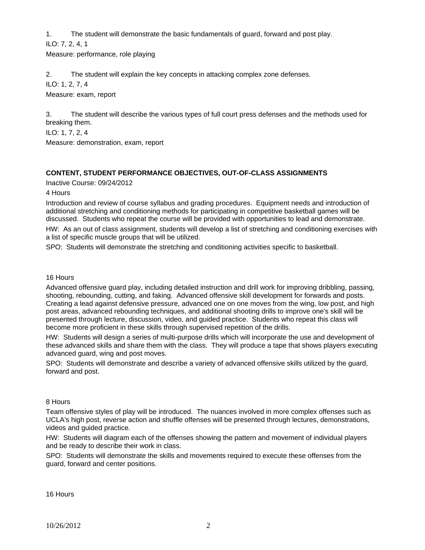1. The student will demonstrate the basic fundamentals of guard, forward and post play.

ILO: 7, 2, 4, 1

Measure: performance, role playing

2. The student will explain the key concepts in attacking complex zone defenses.

ILO: 1, 2, 7, 4

Measure: exam, report

3. The student will describe the various types of full court press defenses and the methods used for breaking them.

ILO: 1, 7, 2, 4

Measure: demonstration, exam, report

## **CONTENT, STUDENT PERFORMANCE OBJECTIVES, OUT-OF-CLASS ASSIGNMENTS**

Inactive Course: 09/24/2012

4 Hours

Introduction and review of course syllabus and grading procedures. Equipment needs and introduction of additional stretching and conditioning methods for participating in competitive basketball games will be discussed. Students who repeat the course will be provided with opportunities to lead and demonstrate.

HW: As an out of class assignment, students will develop a list of stretching and conditioning exercises with a list of specific muscle groups that will be utilized.

SPO: Students will demonstrate the stretching and conditioning activities specific to basketball.

## 16 Hours

Advanced offensive guard play, including detailed instruction and drill work for improving dribbling, passing, shooting, rebounding, cutting, and faking. Advanced offensive skill development for forwards and posts. Creating a lead against defensive pressure, advanced one on one moves from the wing, low post, and high post areas, advanced rebounding techniques, and additional shooting drills to improve one's skill will be presented through lecture, discussion, video, and guided practice. Students who repeat this class will become more proficient in these skills through supervised repetition of the drills.

HW: Students will design a series of multi-purpose drills which will incorporate the use and development of these advanced skills and share them with the class. They will produce a tape that shows players executing advanced guard, wing and post moves.

SPO: Students will demonstrate and describe a variety of advanced offensive skills utilized by the guard, forward and post.

## 8 Hours

Team offensive styles of play will be introduced. The nuances involved in more complex offenses such as UCLA's high post, reverse action and shuffle offenses will be presented through lectures, demonstrations, videos and guided practice.

HW: Students will diagram each of the offenses showing the pattern and movement of individual players and be ready to describe their work in class.

SPO: Students will demonstrate the skills and movements required to execute these offenses from the guard, forward and center positions.

16 Hours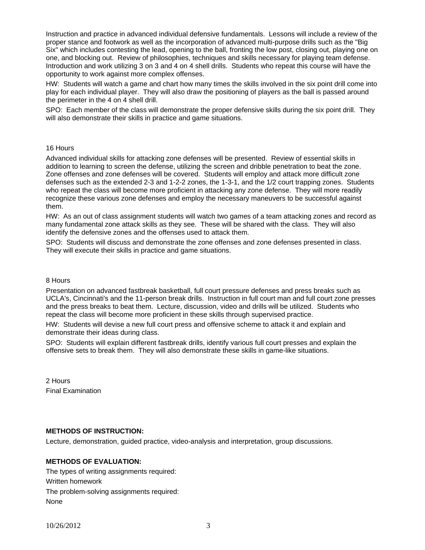Instruction and practice in advanced individual defensive fundamentals. Lessons will include a review of the proper stance and footwork as well as the incorporation of advanced multi-purpose drills such as the "Big Six" which includes contesting the lead, opening to the ball, fronting the low post, closing out, playing one on one, and blocking out. Review of philosophies, techniques and skills necessary for playing team defense. Introduction and work utilizing 3 on 3 and 4 on 4 shell drills. Students who repeat this course will have the opportunity to work against more complex offenses.

HW: Students will watch a game and chart how many times the skills involved in the six point drill come into play for each individual player. They will also draw the positioning of players as the ball is passed around the perimeter in the 4 on 4 shell drill.

SPO: Each member of the class will demonstrate the proper defensive skills during the six point drill. They will also demonstrate their skills in practice and game situations.

#### 16 Hours

Advanced individual skills for attacking zone defenses will be presented. Review of essential skills in addition to learning to screen the defense, utilizing the screen and dribble penetration to beat the zone. Zone offenses and zone defenses will be covered. Students will employ and attack more difficult zone defenses such as the extended 2-3 and 1-2-2 zones, the 1-3-1, and the 1/2 court trapping zones. Students who repeat the class will become more proficient in attacking any zone defense. They will more readily recognize these various zone defenses and employ the necessary maneuvers to be successful against them.

HW: As an out of class assignment students will watch two games of a team attacking zones and record as many fundamental zone attack skills as they see. These will be shared with the class. They will also identify the defensive zones and the offenses used to attack them.

SPO: Students will discuss and demonstrate the zone offenses and zone defenses presented in class. They will execute their skills in practice and game situations.

#### 8 Hours

Presentation on advanced fastbreak basketball, full court pressure defenses and press breaks such as UCLA's, Cincinnati's and the 11-person break drills. Instruction in full court man and full court zone presses and the press breaks to beat them. Lecture, discussion, video and drills will be utilized. Students who repeat the class will become more proficient in these skills through supervised practice.

HW: Students will devise a new full court press and offensive scheme to attack it and explain and demonstrate their ideas during class.

SPO: Students will explain different fastbreak drills, identify various full court presses and explain the offensive sets to break them. They will also demonstrate these skills in game-like situations.

2 Hours Final Examination

## **METHODS OF INSTRUCTION:**

Lecture, demonstration, guided practice, video-analysis and interpretation, group discussions.

### **METHODS OF EVALUATION:**

The types of writing assignments required: Written homework The problem-solving assignments required: None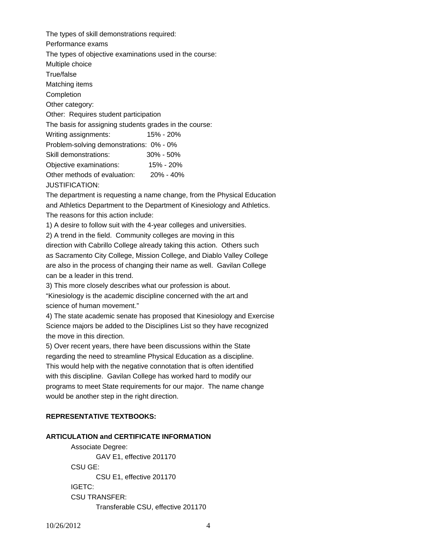The types of skill demonstrations required: Performance exams The types of objective examinations used in the course: Multiple choice True/false Matching items Completion Other category: Other: Requires student participation The basis for assigning students grades in the course: Writing assignments: 15% - 20% Problem-solving demonstrations: 0% - 0% Skill demonstrations: 30% - 50% Objective examinations: 15% - 20% Other methods of evaluation: 20% - 40% JUSTIFICATION:

The department is requesting a name change, from the Physical Education and Athletics Department to the Department of Kinesiology and Athletics. The reasons for this action include:

1) A desire to follow suit with the 4-year colleges and universities.

2) A trend in the field. Community colleges are moving in this direction with Cabrillo College already taking this action. Others such

as Sacramento City College, Mission College, and Diablo Valley College are also in the process of changing their name as well. Gavilan College can be a leader in this trend.

3) This more closely describes what our profession is about.

"Kinesiology is the academic discipline concerned with the art and science of human movement."

4) The state academic senate has proposed that Kinesiology and Exercise Science majors be added to the Disciplines List so they have recognized the move in this direction.

5) Over recent years, there have been discussions within the State regarding the need to streamline Physical Education as a discipline. This would help with the negative connotation that is often identified with this discipline. Gavilan College has worked hard to modify our programs to meet State requirements for our major. The name change would be another step in the right direction.

## **REPRESENTATIVE TEXTBOOKS:**

## **ARTICULATION and CERTIFICATE INFORMATION**

 Associate Degree: GAV E1, effective 201170 CSU GE: CSU E1, effective 201170 IGETC: CSU TRANSFER: Transferable CSU, effective 201170